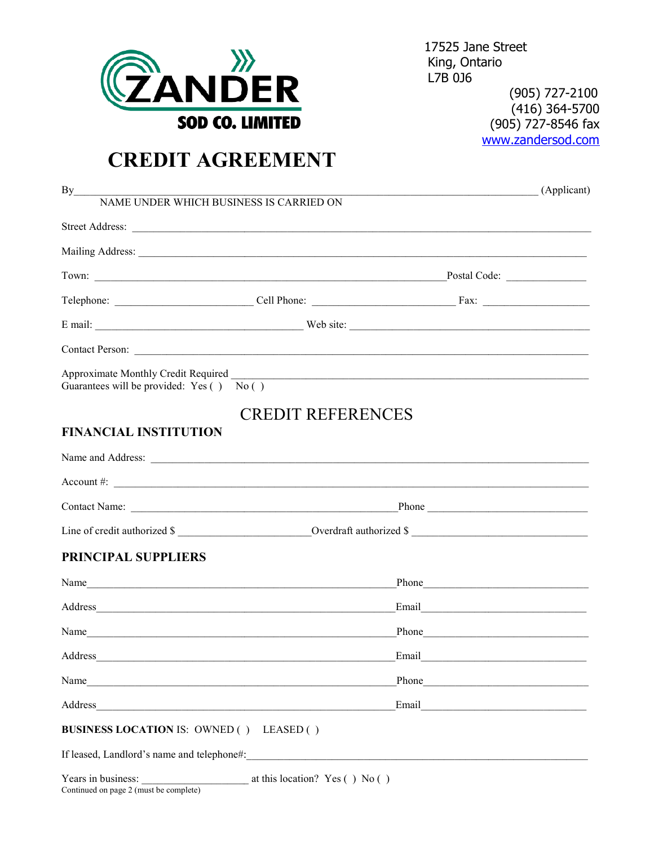

Continued on page 2 (must be complete)

17525 Jane Street King, Ontario L7B 0J6 (905) 727-2100  $(416)$  364-5700 (905) 727-8546 fax www.zandersod.com

# **CREDIT AGREEMENT**

| By<br>NAME UNDER WHICH BUSINESS IS CARRIED ON                                                                                                                                                                                  |                                  | <u> 2000 - 2000 - 2000 - 2000 - 2000 - 2000 - 2000 - 2000 - 2000 - 2000 - 2000 - 2000 - 2000 - 2000 - 2000 - 200</u>  | (Applicant) |
|--------------------------------------------------------------------------------------------------------------------------------------------------------------------------------------------------------------------------------|----------------------------------|-----------------------------------------------------------------------------------------------------------------------|-------------|
|                                                                                                                                                                                                                                |                                  |                                                                                                                       |             |
|                                                                                                                                                                                                                                |                                  |                                                                                                                       |             |
|                                                                                                                                                                                                                                |                                  | Postal Code:                                                                                                          |             |
|                                                                                                                                                                                                                                |                                  |                                                                                                                       |             |
|                                                                                                                                                                                                                                |                                  |                                                                                                                       |             |
|                                                                                                                                                                                                                                |                                  |                                                                                                                       |             |
| Guarantees will be provided: Yes () No ()                                                                                                                                                                                      |                                  |                                                                                                                       |             |
|                                                                                                                                                                                                                                | <b>CREDIT REFERENCES</b>         |                                                                                                                       |             |
| <b>FINANCIAL INSTITUTION</b>                                                                                                                                                                                                   |                                  |                                                                                                                       |             |
|                                                                                                                                                                                                                                |                                  |                                                                                                                       |             |
|                                                                                                                                                                                                                                |                                  | Account #: $\qquad \qquad$                                                                                            |             |
|                                                                                                                                                                                                                                |                                  |                                                                                                                       |             |
|                                                                                                                                                                                                                                |                                  | Line of credit authorized \$                                                                                          |             |
| PRINCIPAL SUPPLIERS                                                                                                                                                                                                            |                                  |                                                                                                                       |             |
| Name                                                                                                                                                                                                                           |                                  | Phone Phone                                                                                                           |             |
|                                                                                                                                                                                                                                |                                  | Email                                                                                                                 |             |
| Name                                                                                                                                                                                                                           |                                  | Phone Phone                                                                                                           |             |
|                                                                                                                                                                                                                                |                                  | $\begin{array}{c c c c} \textbf{Email} & \textbf{if} & \textbf{if} & \textbf{if} \\ \hline \end{array}$               |             |
|                                                                                                                                                                                                                                |                                  | Phone Phone                                                                                                           |             |
| Address and the contract of the contract of the contract of the contract of the contract of the contract of the contract of the contract of the contract of the contract of the contract of the contract of the contract of th |                                  |                                                                                                                       |             |
| <b>BUSINESS LOCATION IS: OWNED () LEASED ()</b>                                                                                                                                                                                |                                  |                                                                                                                       |             |
| If leased, Landlord's name and telephone#:                                                                                                                                                                                     |                                  | <u> 1980 - Johann Barn, mars ann an t-Amhain ann an t-Amhain an t-Amhain an t-Amhain an t-Amhain ann an t-Amhain </u> |             |
| Years in business:                                                                                                                                                                                                             | at this location? $Yes( ) No( )$ |                                                                                                                       |             |